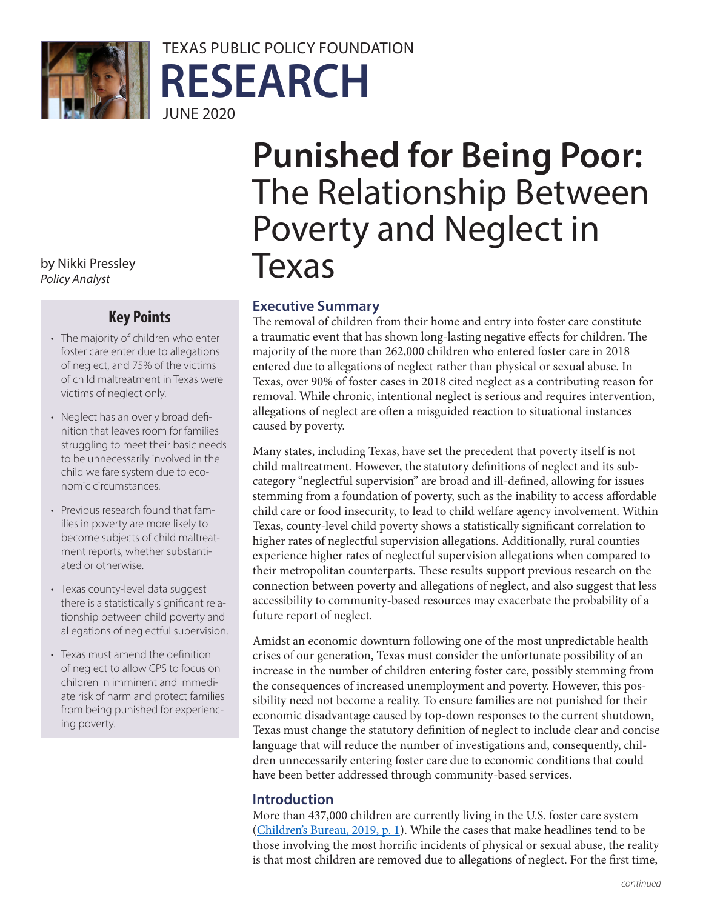

## TEXAS PUBLIC POLICY FOUNDATION **RESEARCH** JUNE 2020

*Policy Analyst*

### **Key Points**

- The majority of children who enter foster care enter due to allegations of neglect, and 75% of the victims of child maltreatment in Texas were victims of neglect only.
- Neglect has an overly broad definition that leaves room for families struggling to meet their basic needs to be unnecessarily involved in the child welfare system due to economic circumstances.
- Previous research found that families in poverty are more likely to become subjects of child maltreatment reports, whether substantiated or otherwise.
- Texas county-level data suggest there is a statistically significant relationship between child poverty and allegations of neglectful supervision.
- Texas must amend the definition of neglect to allow CPS to focus on children in imminent and immediate risk of harm and protect families from being punished for experiencing poverty.

# **Punished for Being Poor:**  The Relationship Between Poverty and Neglect in by Nikki Pressley<br>Pelised at the **Texas**

#### **Executive Summary**

The removal of children from their home and entry into foster care constitute a traumatic event that has shown long-lasting negative effects for children. The majority of the more than 262,000 children who entered foster care in 2018 entered due to allegations of neglect rather than physical or sexual abuse. In Texas, over 90% of foster cases in 2018 cited neglect as a contributing reason for removal. While chronic, intentional neglect is serious and requires intervention, allegations of neglect are often a misguided reaction to situational instances caused by poverty.

Many states, including Texas, have set the precedent that poverty itself is not child maltreatment. However, the statutory definitions of neglect and its subcategory "neglectful supervision" are broad and ill-defined, allowing for issues stemming from a foundation of poverty, such as the inability to access affordable child care or food insecurity, to lead to child welfare agency involvement. Within Texas, county-level child poverty shows a statistically significant correlation to higher rates of neglectful supervision allegations. Additionally, rural counties experience higher rates of neglectful supervision allegations when compared to their metropolitan counterparts. These results support previous research on the connection between poverty and allegations of neglect, and also suggest that less accessibility to community-based resources may exacerbate the probability of a future report of neglect.

Amidst an economic downturn following one of the most unpredictable health crises of our generation, Texas must consider the unfortunate possibility of an increase in the number of children entering foster care, possibly stemming from the consequences of increased unemployment and poverty. However, this possibility need not become a reality. To ensure families are not punished for their economic disadvantage caused by top-down responses to the current shutdown, Texas must change the statutory definition of neglect to include clear and concise language that will reduce the number of investigations and, consequently, children unnecessarily entering foster care due to economic conditions that could have been better addressed through community-based services.

#### **Introduction**

More than 437,000 children are currently living in the U.S. foster care system ([Children's Bureau, 2019, p. 1](https://www.acf.hhs.gov/sites/default/files/cb/afcarsreport26.pdf)). While the cases that make headlines tend to be those involving the most horrific incidents of physical or sexual abuse, the reality is that most children are removed due to allegations of neglect. For the first time,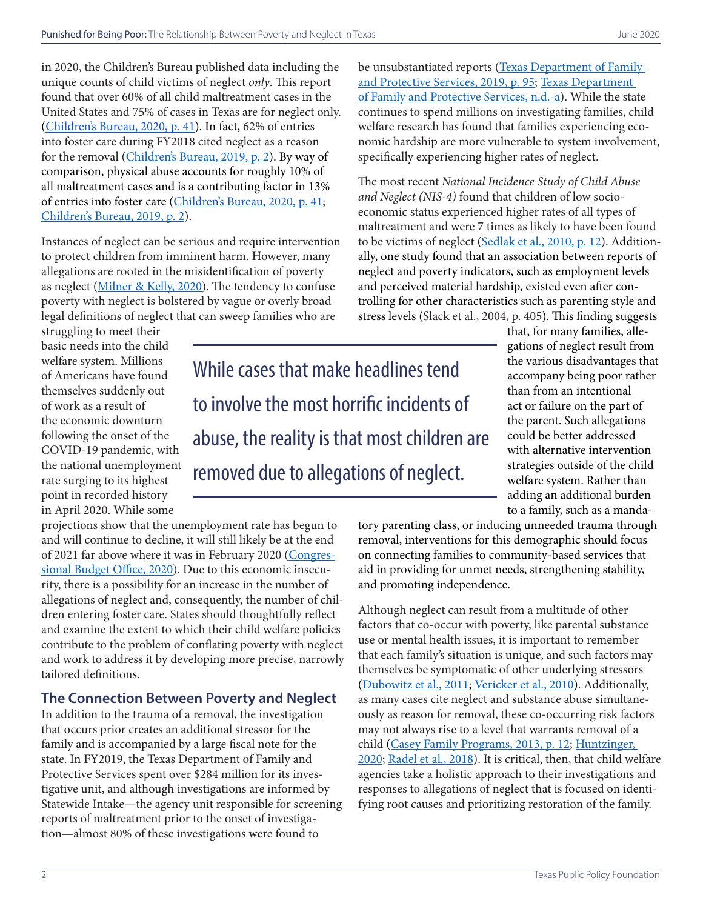in 2020, the Children's Bureau published data including the unique counts of child victims of neglect *only*. This report found that over 60% of all child maltreatment cases in the United States and 75% of cases in Texas are for neglect only. ([Children's Bureau, 2020, p. 41\)](https://www.acf.hhs.gov/sites/default/files/cb/cm2018.pdf). In fact, 62% of entries into foster care during FY2018 cited neglect as a reason for the removal ([Children's Bureau, 2019, p. 2](https://www.acf.hhs.gov/sites/default/files/cb/afcarsreport26.pdf)). By way of comparison, physical abuse accounts for roughly 10% of all maltreatment cases and is a contributing factor in 13% of entries into foster care [\(Children's Bureau, 2020, p. 41](https://www.acf.hhs.gov/sites/default/files/cb/cm2018.pdf); [Children's Bureau, 2019, p. 2\)](https://www.acf.hhs.gov/sites/default/files/cb/afcarsreport26.pdf).

Instances of neglect can be serious and require intervention to protect children from imminent harm. However, many allegations are rooted in the misidentification of poverty as neglect [\(Milner & Kelly, 2020\)](https://chronicleofsocialchange.org/child-welfare-2/time-for-child-welfare-system-to-stop-confusing-poverty-with-neglect/40222). The tendency to confuse poverty with neglect is bolstered by vague or overly broad legal definitions of neglect that can sweep families who are

be unsubstantiated reports (Texas Department of Family [and Protective Services, 2019, p. 95;](https://www.dfps.state.tx.us/About_DFPS/Budget_and_Finance/Operating_Budgets/FY20-Operating_Budget.pdf) [Texas Department](https://www.dfps.state.tx.us/About_DFPS/Data_Book/Child_Protective_Investigations/Investigations/Types_of_Abuse.asp)  [of Family and Protective Services, n.d.-a\)](https://www.dfps.state.tx.us/About_DFPS/Data_Book/Child_Protective_Investigations/Investigations/Types_of_Abuse.asp). While the state continues to spend millions on investigating families, child welfare research has found that families experiencing economic hardship are more vulnerable to system involvement, specifically experiencing higher rates of neglect.

The most recent *National Incidence Study of Child Abuse and Neglect (NIS-4)* found that children of low socioeconomic status experienced higher rates of all types of maltreatment and were 7 times as likely to have been found to be victims of neglect ([Sedlak et al., 2010, p. 12\)](https://www.acf.hhs.gov/sites/default/files/opre/nis4_report_congress_full_pdf_jan2010.pdf). Additionally, one study found that an association between reports of neglect and poverty indicators, such as employment levels and perceived material hardship, existed even after controlling for other characteristics such as parenting style and stress levels (Slack et al., 2004, p. 405). This finding suggests

struggling to meet their basic needs into the child welfare system. Millions of Americans have found themselves suddenly out of work as a result of the economic downturn following the onset of the COVID-19 pandemic, with the national unemployment rate surging to its highest point in recorded history in April 2020. While some

While cases that make headlines tend to involve the most horrific incidents of abuse, the reality is that most children are removed due to allegations of neglect.

that, for many families, allegations of neglect result from the various disadvantages that accompany being poor rather than from an intentional act or failure on the part of the parent. Such allegations could be better addressed with alternative intervention strategies outside of the child welfare system. Rather than adding an additional burden to a family, such as a manda-

projections show that the unemployment rate has begun to and will continue to decline, it will still likely be at the end of 2021 far above where it was in February 2020 ([Congres](https://www.cbo.gov/publication/56368)[sional Budget Office, 2020\)](https://www.cbo.gov/publication/56368). Due to this economic insecurity, there is a possibility for an increase in the number of allegations of neglect and, consequently, the number of children entering foster care. States should thoughtfully reflect and examine the extent to which their child welfare policies contribute to the problem of conflating poverty with neglect and work to address it by developing more precise, narrowly tailored definitions.

#### **The Connection Between Poverty and Neglect**

In addition to the trauma of a removal, the investigation that occurs prior creates an additional stressor for the family and is accompanied by a large fiscal note for the state. In FY2019, the Texas Department of Family and Protective Services spent over \$284 million for its investigative unit, and although investigations are informed by Statewide Intake—the agency unit responsible for screening reports of maltreatment prior to the onset of investigation—almost 80% of these investigations were found to

tory parenting class, or inducing unneeded trauma through removal, interventions for this demographic should focus on connecting families to community-based services that aid in providing for unmet needs, strengthening stability, and promoting independence.

Although neglect can result from a multitude of other factors that co-occur with poverty, like parental substance use or mental health issues, it is important to remember that each family's situation is unique, and such factors may themselves be symptomatic of other underlying stressors ([Dubowitz et al., 2011](https://www.sciencedirect.com/science/article/abs/pii/S0145213411000135); [Vericker et al., 2010\)](https://www.urban.org/sites/default/files/publication/29086/412199-Infants-of-Depressed-Mothers-Living-in-Poverty-Opportunities-to-Identify-and-Serve.PDF). Additionally, as many cases cite neglect and substance abuse simultaneously as reason for removal, these co-occurring risk factors may not always rise to a level that warrants removal of a child [\(Casey Family Programs, 2013, p. 12](https://www.in.gov/children/files/Practice_Digest_Substance_Use_11_13.pdf); [Huntzinger,](https://files.texaspolicy.com/uploads/2020/03/04121631/Huntzinger-Parental-Substance-Abuse.pdf?utm_source=hs_email&utm_medium=email&utm_content=84327761&_hsenc=p2ANqtz-8AlivqTprNkpzZXewHjQ8a21JwkRwSrGYCieYX3_xnnSmGUklXitHwUsVnYJhbgJAA9HPSvC0mPv-JLQUqquHMr6JgNQ&_hsmi=84327761)  [2020](https://files.texaspolicy.com/uploads/2020/03/04121631/Huntzinger-Parental-Substance-Abuse.pdf?utm_source=hs_email&utm_medium=email&utm_content=84327761&_hsenc=p2ANqtz-8AlivqTprNkpzZXewHjQ8a21JwkRwSrGYCieYX3_xnnSmGUklXitHwUsVnYJhbgJAA9HPSvC0mPv-JLQUqquHMr6JgNQ&_hsmi=84327761); [Radel et al., 2018](https://aspe.hhs.gov/system/files/pdf/258836/SubstanceUseChildWelfareOverview.pdf)). It is critical, then, that child welfare agencies take a holistic approach to their investigations and responses to allegations of neglect that is focused on identifying root causes and prioritizing restoration of the family.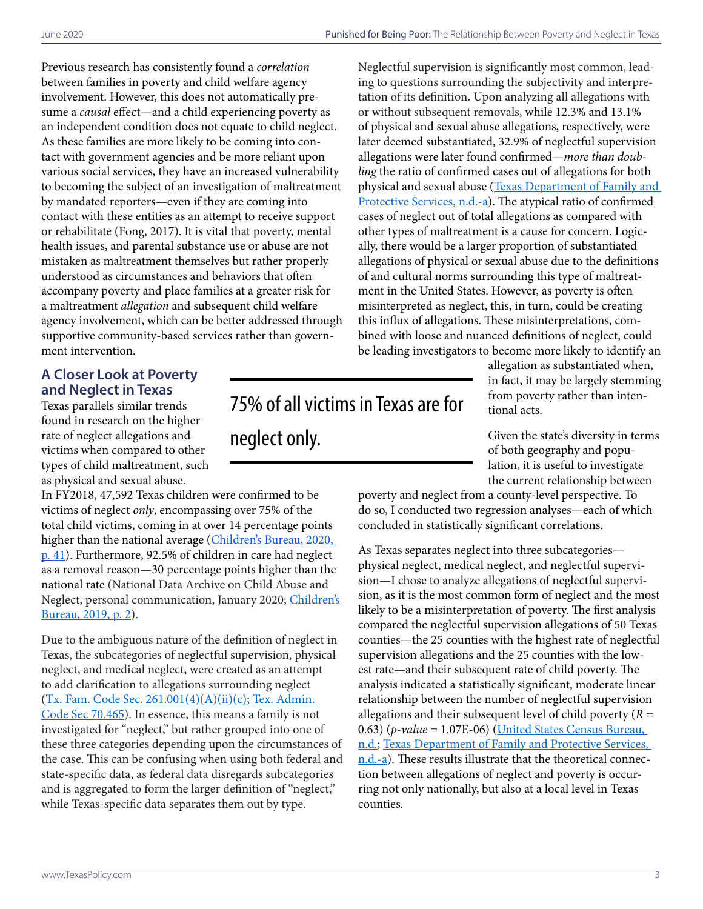Previous research has consistently found a *correlation* between families in poverty and child welfare agency involvement. However, this does not automatically presume a *causal* effect—and a child experiencing poverty as an independent condition does not equate to child neglect. As these families are more likely to be coming into contact with government agencies and be more reliant upon various social services, they have an increased vulnerability to becoming the subject of an investigation of maltreatment by mandated reporters—even if they are coming into contact with these entities as an attempt to receive support or rehabilitate (Fong, 2017). It is vital that poverty, mental health issues, and parental substance use or abuse are not mistaken as maltreatment themselves but rather properly understood as circumstances and behaviors that often accompany poverty and place families at a greater risk for a maltreatment *allegation* and subsequent child welfare agency involvement, which can be better addressed through supportive community-based services rather than government intervention.

#### **A Closer Look at Poverty and Neglect in Texas**

Texas parallels similar trends found in research on the higher rate of neglect allegations and victims when compared to other types of child maltreatment, such as physical and sexual abuse.

In FY2018, 47,592 Texas children were confirmed to be victims of neglect *only*, encompassing over 75% of the total child victims, coming in at over 14 percentage points higher than the national average (Children's Bureau, 2020, [p. 41](https://www.acf.hhs.gov/sites/default/files/cb/cm2018.pdf)). Furthermore, 92.5% of children in care had neglect as a removal reason—30 percentage points higher than the national rate (National Data Archive on Child Abuse and Neglect, personal communication, January 2020; [Children's](https://www.acf.hhs.gov/sites/default/files/cb/afcarsreport26.pdf)  [Bureau, 2019, p. 2](https://www.acf.hhs.gov/sites/default/files/cb/afcarsreport26.pdf)).

Due to the ambiguous nature of the definition of neglect in Texas, the subcategories of neglectful supervision, physical neglect, and medical neglect, were created as an attempt to add clarification to allegations surrounding neglect ([Tx. Fam. Code Sec. 261.001\(4\)\(A\)\(ii\)\(c\)](https://statutes.capitol.texas.gov/Docs/FA/htm/FA.261.htm); [Tex. Admin.](https://texreg.sos.state.tx.us/public/readtac$ext.TacPage?sl=R&app=9&p_dir=&p_rloc=&p_tloc=&p_ploc=&pg=1&p_tac=&ti=40&pt=19&ch=700&rl=465)  [Code Sec 70.465](https://texreg.sos.state.tx.us/public/readtac$ext.TacPage?sl=R&app=9&p_dir=&p_rloc=&p_tloc=&p_ploc=&pg=1&p_tac=&ti=40&pt=19&ch=700&rl=465)). In essence, this means a family is not investigated for "neglect," but rather grouped into one of these three categories depending upon the circumstances of the case. This can be confusing when using both federal and state-specific data, as federal data disregards subcategories and is aggregated to form the larger definition of "neglect," while Texas-specific data separates them out by type.

75% of all victims in Texas are for neglect only*.*

Neglectful supervision is significantly most common, leading to questions surrounding the subjectivity and interpretation of its definition. Upon analyzing all allegations with or without subsequent removals, while 12.3% and 13.1% of physical and sexual abuse allegations, respectively, were later deemed substantiated, 32.9% of neglectful supervision allegations were later found confirmed—*more than doubling* the ratio of confirmed cases out of allegations for both physical and sexual abuse [\(Texas Department of Family and](https://www.dfps.state.tx.us/About_DFPS/Data_Book/Child_Protective_Investigations/Investigations/Types_of_Abuse.asp)  [Protective Services, n.d.-a](https://www.dfps.state.tx.us/About_DFPS/Data_Book/Child_Protective_Investigations/Investigations/Types_of_Abuse.asp)). The atypical ratio of confirmed cases of neglect out of total allegations as compared with other types of maltreatment is a cause for concern. Logically, there would be a larger proportion of substantiated allegations of physical or sexual abuse due to the definitions of and cultural norms surrounding this type of maltreatment in the United States. However, as poverty is often misinterpreted as neglect, this, in turn, could be creating this influx of allegations. These misinterpretations, combined with loose and nuanced definitions of neglect, could be leading investigators to become more likely to identify an

> allegation as substantiated when, in fact, it may be largely stemming from poverty rather than intentional acts.

Given the state's diversity in terms of both geography and population, it is useful to investigate the current relationship between

poverty and neglect from a county-level perspective. To do so, I conducted two regression analyses—each of which concluded in statistically significant correlations.

As Texas separates neglect into three subcategories physical neglect, medical neglect, and neglectful supervision—I chose to analyze allegations of neglectful supervision, as it is the most common form of neglect and the most likely to be a misinterpretation of poverty. The first analysis compared the neglectful supervision allegations of 50 Texas counties—the 25 counties with the highest rate of neglectful supervision allegations and the 25 counties with the lowest rate—and their subsequent rate of child poverty. The analysis indicated a statistically significant, moderate linear relationship between the number of neglectful supervision allegations and their subsequent level of child poverty (*R* = 0.63) (*p-value* = 1.07E-06) (United States Census Bureau, n.d.; [Texas Department of Family and Protective Services,](https://www.dfps.state.tx.us/About_DFPS/Data_Book/Child_Protective_Investigations/Investigations/Types_of_Abuse.asp)  [n.d.-a\)](https://www.dfps.state.tx.us/About_DFPS/Data_Book/Child_Protective_Investigations/Investigations/Types_of_Abuse.asp). These results illustrate that the theoretical connection between allegations of neglect and poverty is occurring not only nationally, but also at a local level in Texas counties.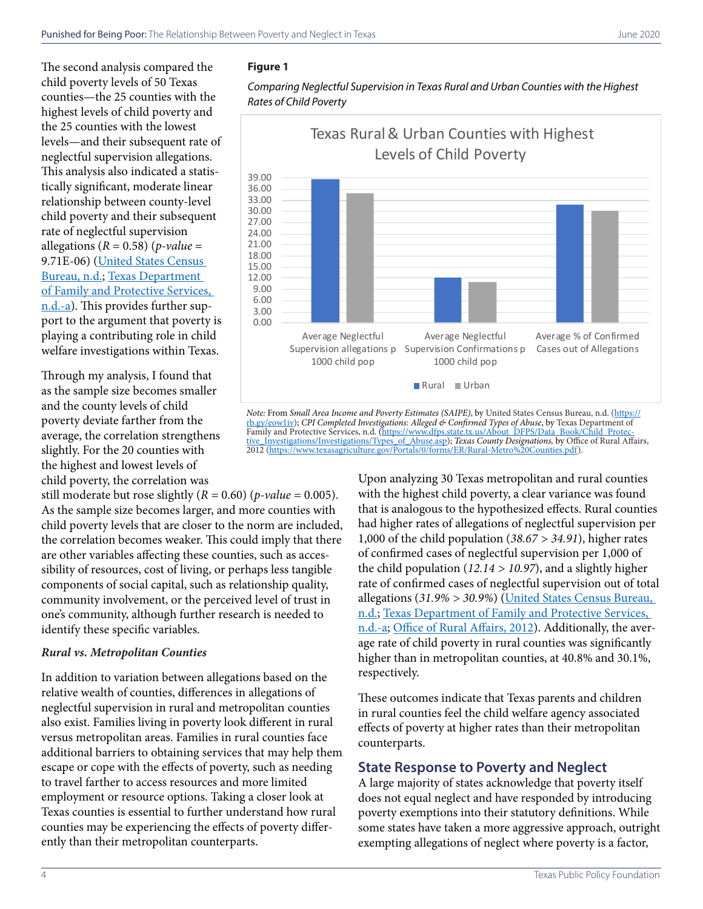The second analysis compared the child poverty levels of 50 Texas counties—the 25 counties with the highest levels of child poverty and the 25 counties with the lowest levels—and their subsequent rate of neglectful supervision allegations. This analysis also indicated a statistically significant, moderate linear relationship between county-level child poverty and their subsequent rate of neglectful supervision allegations  $(R = 0.58)$  (*p*-value = 9.71E-06) [\(United](https://imis.county.org/iMIS/CountyInformationProgram/QueriesCIP.aspx?QueryMenuSelectedKeyctl01_TemplateBody_WebPartManager1_gwpciNewQueryMenuCommon_ciNewQueryMenuCommon=944eeb43-ff87-4dc8-bfc2-47d242e9f455) States Census Bureau, n.d.; [Texas Department](https://www.dfps.state.tx.us/About_DFPS/Data_Book/Child_Protective_Investigations/Investigations/Types_of_Abuse.asp)  [of Family and Protective Services,](https://www.dfps.state.tx.us/About_DFPS/Data_Book/Child_Protective_Investigations/Investigations/Types_of_Abuse.asp)  [n.d.-a\)](https://www.dfps.state.tx.us/About_DFPS/Data_Book/Child_Protective_Investigations/Investigations/Types_of_Abuse.asp). This provides further support to the argument that poverty is playing a contributing role in child welfare investigations within Texas.

Through my analysis, I found that as the sample size becomes smaller and the county levels of child poverty deviate farther from the average, the correlation strengthens slightly. For the 20 counties with the highest and lowest levels of child poverty, the correlation was

still moderate but rose slightly  $(R = 0.60)$  (*p-value* = 0.005). As the sample size becomes larger, and more counties with child poverty levels that are closer to the norm are included, the correlation becomes weaker. This could imply that there are other variables affecting these counties, such as accessibility of resources, cost of living, or perhaps less tangible components of social capital, such as relationship quality, community involvement, or the perceived level of trust in one's community, although further research is needed to identify these specific variables.

#### *Rural vs. Metropolitan Counties*

In addition to variation between allegations based on the relative wealth of counties, differences in allegations of neglectful supervision in rural and metropolitan counties also exist. Families living in poverty look different in rural versus metropolitan areas. Families in rural counties face additional barriers to obtaining services that may help them escape or cope with the effects of poverty, such as needing to travel farther to access resources and more limited employment or resource options. Taking a closer look at Texas counties is essential to further understand how rural counties may be experiencing the effects of poverty differently than their metropolitan counterparts.

#### **Figure 1**

*Comparing Neglectful Supervision in Texas Rural and Urban Counties with the Highest Rates of Child Poverty*



*Note:* From *Small Area Income and Poverty Estimates (SAIPE)*, by United States Census Bureau, n.d. [\(https://](https://rb.gy/eow1iv) [rb.gy/eow1iv](https://rb.gy/eow1iv)); *CPI Completed Investigations: Alleged & Confirmed Types of Abuse*, by Texas Department of Family and Protective Services, n.d. ([https://www.dfps.state.tx.us/About\\_DFPS/Data\\_Book/Child\\_Protec](https://www.dfps.state.tx.us/About_DFPS/Data_Book/Child_Protective_Investigations/Investigations/Types_of_Abuse.asp)[tive\\_Investigations/Investigations/Types\\_of\\_Abuse.asp](https://www.dfps.state.tx.us/About_DFPS/Data_Book/Child_Protective_Investigations/Investigations/Types_of_Abuse.asp)); *Texas County Designations,* by Office of Rural Affairs, 2012 (<https://www.texasagriculture.gov/Portals/0/forms/ER/Rural-Metro%20Counties.pdf>).

> Upon analyzing 30 Texas metropolitan and rural counties with the highest child poverty, a clear variance was found that is analogous to the hypothesized effects. Rural counties had higher rates of allegations of neglectful supervision per 1,000 of the child population (*38.67 > 34.91*), higher rates of confirmed cases of neglectful supervision per 1,000 of the child population (*12.14 > 10.97*), and a slightly higher rate of confirmed cases of neglectful supervision out of total allegations (*31.9% > 30.9%*) ([United](https://imis.county.org/iMIS/CountyInformationProgram/QueriesCIP.aspx?QueryMenuSelectedKeyctl01_TemplateBody_WebPartManager1_gwpciNewQueryMenuCommon_ciNewQueryMenuCommon=944eeb43-ff87-4dc8-bfc2-47d242e9f455) States Census Bureau, n.d.; [Texas Department of Family and Protective Services,](https://www.dfps.state.tx.us/About_DFPS/Data_Book/Child_Protective_Investigations/Investigations/Types_of_Abuse.asp)  [n.d.-a;](https://www.dfps.state.tx.us/About_DFPS/Data_Book/Child_Protective_Investigations/Investigations/Types_of_Abuse.asp) [Office of Rural Affairs, 2012\)](https://www.texasagriculture.gov/Portals/0/forms/ER/Rural-Metro%20Counties.pdf). Additionally, the average rate of child poverty in rural counties was significantly higher than in metropolitan counties, at 40.8% and 30.1%, respectively.

These outcomes indicate that Texas parents and children in rural counties feel the child welfare agency associated effects of poverty at higher rates than their metropolitan counterparts.

#### **State Response to Poverty and Neglect**

A large majority of states acknowledge that poverty itself does not equal neglect and have responded by introducing poverty exemptions into their statutory definitions. While some states have taken a more aggressive approach, outright exempting allegations of neglect where poverty is a factor,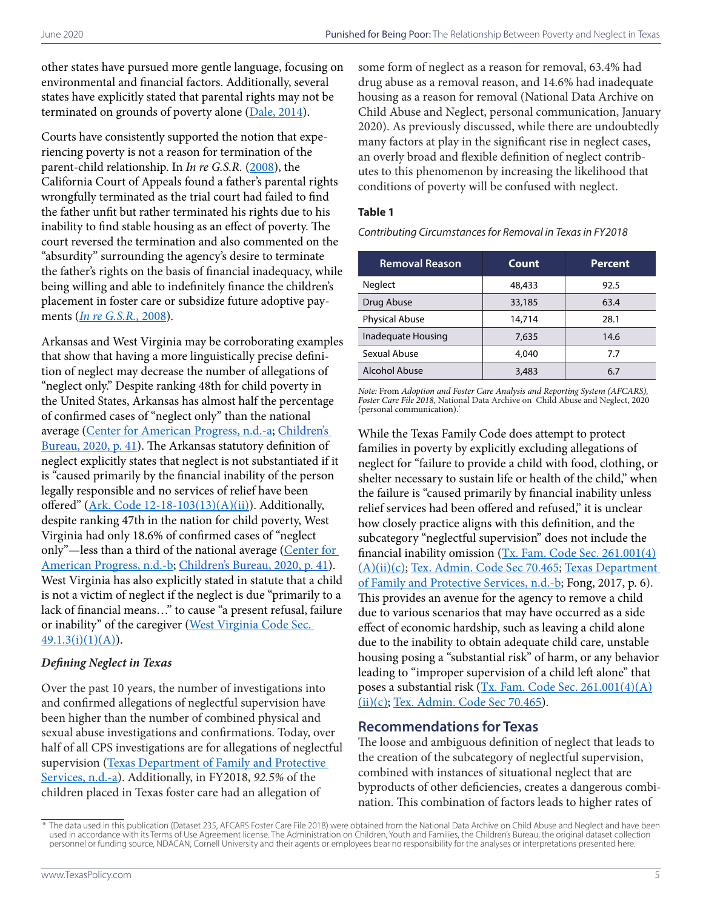other states have pursued more gentle language, focusing on environmental and financial factors. Additionally, several states have explicitly stated that parental rights may not be terminated on grounds of poverty alone  $(Dale, 2014)$ .

Courts have consistently supported the notion that experiencing poverty is not a reason for termination of the parent-child relationship. In *In re G.S.R.* ([2008\)](https://casetext.com/case/in-re-gsr), the California Court of Appeals found a father's parental rights wrongfully terminated as the trial court had failed to find the father unfit but rather terminated his rights due to his inability to find stable housing as an effect of poverty. The court reversed the termination and also commented on the "absurdity" surrounding the agency's desire to terminate the father's rights on the basis of financial inadequacy, while being willing and able to indefinitely finance the children's placement in foster care or subsidize future adoptive payments (*[In re G.S.R.,](https://casetext.com/case/in-re-gsr)* 2008).

Arkansas and West Virginia may be corroborating examples that show that having a more linguistically precise definition of neglect may decrease the number of allegations of "neglect only." Despite ranking 48th for child poverty in the United States, Arkansas has almost half the percentage of confirmed cases of "neglect only" than the national average [\(Center for American Progress, n.d.-a](https://talkpoverty.org/state-year-report/arkansas-2019-report/); [Children's](https://www.acf.hhs.gov/sites/default/files/cb/cm2018.pdf)  [Bureau, 2020, p. 41](https://www.acf.hhs.gov/sites/default/files/cb/cm2018.pdf)). The Arkansas statutory definition of neglect explicitly states that neglect is not substantiated if it is "caused primarily by the financial inability of the person legally responsible and no services of relief have been offered" ( $Ark$ . Code 12-18-103(13)(A)(ii)). Additionally, despite ranking 47th in the nation for child poverty, West Virginia had only 18.6% of confirmed cases of "neglect only"—less than a third of the national average ([Center for](https://talkpoverty.org/state-year-report/west-virginia-2019-report/)  [American Progress, n.d.-b;](https://talkpoverty.org/state-year-report/west-virginia-2019-report/) [Children's Bureau, 2020, p. 41\)](https://www.acf.hhs.gov/sites/default/files/cb/cm2018.pdf). West Virginia has also explicitly stated in statute that a child is not a victim of neglect if the neglect is due "primarily to a lack of financial means…" to cause "a present refusal, failure or inability" of the caregiver (West Virginia Code Sec.  $49.1.3(i)(1)(A)).$  $49.1.3(i)(1)(A)).$ 

#### *Defining Neglect in Texas*

Over the past 10 years, the number of investigations into and confirmed allegations of neglectful supervision have been higher than the number of combined physical and sexual abuse investigations and confirmations. Today, over half of all CPS investigations are for allegations of neglectful supervision (Texas Department of Family and Protective [Services, n.d.-a](https://www.dfps.state.tx.us/About_DFPS/Data_Book/Child_Protective_Investigations/Investigations/Types_of_Abuse.asp)). Additionally, in FY2018, *92.5%* of the children placed in Texas foster care had an allegation of

some form of neglect as a reason for removal, 63.4% had drug abuse as a removal reason, and 14.6% had inadequate housing as a reason for removal (National Data Archive on Child Abuse and Neglect, personal communication, January 2020). As previously discussed, while there are undoubtedly many factors at play in the significant rise in neglect cases, an overly broad and flexible definition of neglect contributes to this phenomenon by increasing the likelihood that conditions of poverty will be confused with neglect.

#### **Table 1**

*Contributing Circumstances for Removal in Texas in FY2018*

| <b>Removal Reason</b> | Count  | <b>Percent</b> |
|-----------------------|--------|----------------|
| Neglect               | 48,433 | 92.5           |
| Drug Abuse            | 33,185 | 63.4           |
| <b>Physical Abuse</b> | 14,714 | 28.1           |
| Inadequate Housing    | 7,635  | 14.6           |
| Sexual Abuse          | 4,040  | 7.7            |
| Alcohol Abuse         | 3,483  | 6.7            |

*Note:* From *Adoption and Foster Care Analysis and Reporting System (AFCARS), Foster Care File 2018,* National Data Archive on Child Abuse and Neglect, 2020 (personal communication).\*

While the Texas Family Code does attempt to protect families in poverty by explicitly excluding allegations of neglect for "failure to provide a child with food, clothing, or shelter necessary to sustain life or health of the child," when the failure is "caused primarily by financial inability unless relief services had been offered and refused," it is unclear how closely practice aligns with this definition, and the subcategory "neglectful supervision" does not include the financial inability omission [\(Tx. Fam. Code Sec. 261.001\(4\)](https://statutes.capitol.texas.gov/Docs/FA/htm/FA.261.htm) [\(A\)\(ii\)\(c\);](https://statutes.capitol.texas.gov/Docs/FA/htm/FA.261.htm) [Tex. Admin. Code Sec 70.465;](https://texreg.sos.state.tx.us/public/readtac$ext.TacPage?sl=R&app=9&p_dir=&p_rloc=&p_tloc=&p_ploc=&pg=1&p_tac=&ti=40&pt=19&ch=700&rl=465) [Texas Department](https://www.dfps.state.tx.us/Training/Reporting/recognizing.asp)  [of Family and Protective Services, n.d.-b;](https://www.dfps.state.tx.us/Training/Reporting/recognizing.asp) Fong, 2017, p. 6). This provides an avenue for the agency to remove a child due to various scenarios that may have occurred as a side effect of economic hardship, such as leaving a child alone due to the inability to obtain adequate child care, unstable housing posing a "substantial risk" of harm, or any behavior leading to "improper supervision of a child left alone" that poses a substantial risk ([Tx. Fam. Code Sec. 261.001\(4\)\(A\)](https://statutes.capitol.texas.gov/Docs/FA/htm/FA.261.htm) [\(ii\)\(c\);](https://statutes.capitol.texas.gov/Docs/FA/htm/FA.261.htm) [Tex. Admin. Code Sec 70.465\)](https://texreg.sos.state.tx.us/public/readtac$ext.TacPage?sl=R&app=9&p_dir=&p_rloc=&p_tloc=&p_ploc=&pg=1&p_tac=&ti=40&pt=19&ch=700&rl=465).

#### **Recommendations for Texas**

The loose and ambiguous definition of neglect that leads to the creation of the subcategory of neglectful supervision, combined with instances of situational neglect that are byproducts of other deficiencies, creates a dangerous combination. This combination of factors leads to higher rates of

The data used in this publication (Dataset 235, AFCARS Foster Care File 2018) were obtained from the National Data Archive on Child Abuse and Neglect and have been used in accordance with its Terms of Use Agreement license. The Administration on Children, Youth and Families, the Children's Bureau, the original dataset collection personnel or funding source, NDACAN, Cornell University and their agents or employees bear no responsibility for the analyses or interpretations presented here.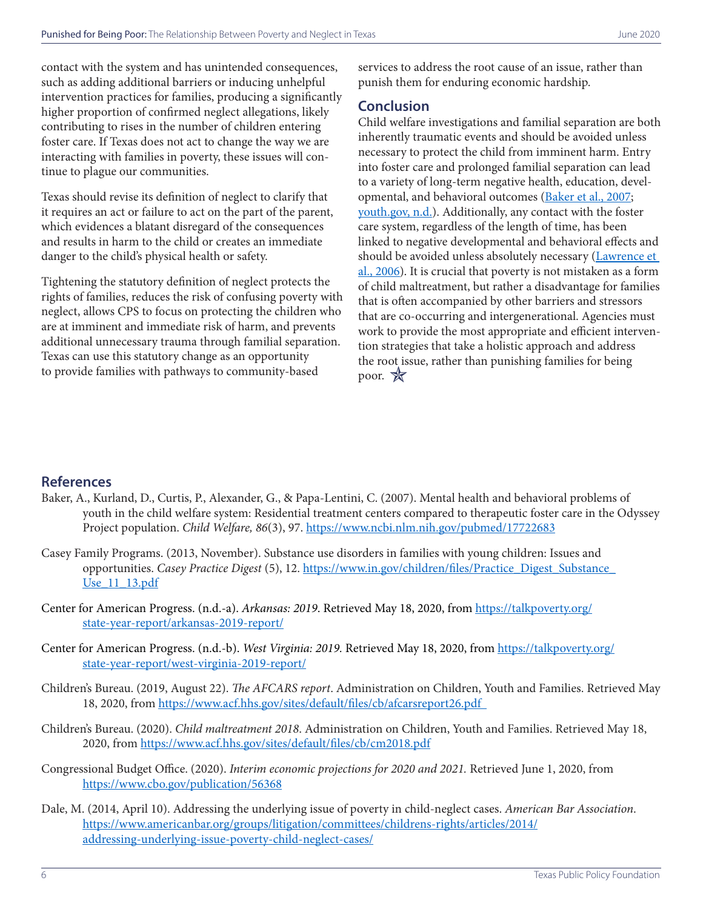contact with the system and has unintended consequences, such as adding additional barriers or inducing unhelpful intervention practices for families, producing a significantly higher proportion of confirmed neglect allegations, likely contributing to rises in the number of children entering foster care. If Texas does not act to change the way we are interacting with families in poverty, these issues will continue to plague our communities.

Texas should revise its definition of neglect to clarify that it requires an act or failure to act on the part of the parent, which evidences a blatant disregard of the consequences and results in harm to the child or creates an immediate danger to the child's physical health or safety.

Tightening the statutory definition of neglect protects the rights of families, reduces the risk of confusing poverty with neglect, allows CPS to focus on protecting the children who are at imminent and immediate risk of harm, and prevents additional unnecessary trauma through familial separation. Texas can use this statutory change as an opportunity to provide families with pathways to community-based

services to address the root cause of an issue, rather than punish them for enduring economic hardship.

#### **Conclusion**

Child welfare investigations and familial separation are both inherently traumatic events and should be avoided unless necessary to protect the child from imminent harm. Entry into foster care and prolonged familial separation can lead to a variety of long-term negative health, education, developmental, and behavioral outcomes ([Baker et al., 2007;](https://www.ncbi.nlm.nih.gov/pubmed/17722683) [youth.gov, n.d.\)](https://youth.gov/youth-briefs/foster-care-youth-brief/challenges). Additionally, any contact with the foster care system, regardless of the length of time, has been linked to negative developmental and behavioral effects and should be avoided unless absolutely necessary [\(Lawrence et](https://cca-ct.org/Study%20Impact%20of%20Foster%20Care%20on%20Child%20Dev.pdf)  [al., 2006](https://cca-ct.org/Study%20Impact%20of%20Foster%20Care%20on%20Child%20Dev.pdf)). It is crucial that poverty is not mistaken as a form of child maltreatment, but rather a disadvantage for families that is often accompanied by other barriers and stressors that are co-occurring and intergenerational. Agencies must work to provide the most appropriate and efficient intervention strategies that take a holistic approach and address the root issue, rather than punishing families for being poor.  $\mathbb{X}$ 

#### **References**

- Baker, A., Kurland, D., Curtis, P., Alexander, G., & Papa-Lentini, C. (2007). Mental health and behavioral problems of youth in the child welfare system: Residential treatment centers compared to therapeutic foster care in the Odyssey Project population. *Child Welfare, 86*(3), 97. <https://www.ncbi.nlm.nih.gov/pubmed/17722683>
- Casey Family Programs. (2013, November). Substance use disorders in families with young children: Issues and opportunities. *Casey Practice Digest* (5), 12. [https://www.in.gov/children/files/Practice\\_Digest\\_Substance\\_](https://www.in.gov/children/files/Practice_Digest_Substance_Use_11_13.pdf) [Use\\_11\\_13.pdf](https://www.in.gov/children/files/Practice_Digest_Substance_Use_11_13.pdf)
- Center for American Progress. (n.d.-a). *Arkansas: 2019*. Retrieved May 18, 2020, from [https://talkpoverty.org/](https://talkpoverty.org/state-year-report/arkansas-2019-report/) [state-year-report/arkansas-2019-report/](https://talkpoverty.org/state-year-report/arkansas-2019-report/)
- Center for American Progress. (n.d.-b). *West Virginia: 2019.* Retrieved May 18, 2020, from [https://talkpoverty.org/](https://talkpoverty.org/state-year-report/west-virginia-2019-report/) [state-year-report/west-virginia-2019-report/](https://talkpoverty.org/state-year-report/west-virginia-2019-report/)
- Children's Bureau. (2019, August 22). *The AFCARS report*. Administration on Children, Youth and Families. Retrieved May 18, 2020, from <https://www.acf.hhs.gov/sites/default/files/cb/afcarsreport26.pdf>
- Children's Bureau. (2020). *Child maltreatment 2018*. Administration on Children, Youth and Families. Retrieved May 18, 2020, from<https://www.acf.hhs.gov/sites/default/files/cb/cm2018.pdf>
- Congressional Budget Office. (2020). *Interim economic projections for 2020 and 2021.* Retrieved June 1, 2020, from <https://www.cbo.gov/publication/56368>
- Dale, M. (2014, April 10). Addressing the underlying issue of poverty in child-neglect cases. *American Bar Association*. [https://www.americanbar.org/groups/litigation/committees/childrens-rights/articles/2014/](https://www.americanbar.org/groups/litigation/committees/childrens-rights/articles/2014/addressing-underlying-issue-poverty-child-neglect-cases/) [addressing-underlying-issue-poverty-child-neglect-cases/](https://www.americanbar.org/groups/litigation/committees/childrens-rights/articles/2014/addressing-underlying-issue-poverty-child-neglect-cases/)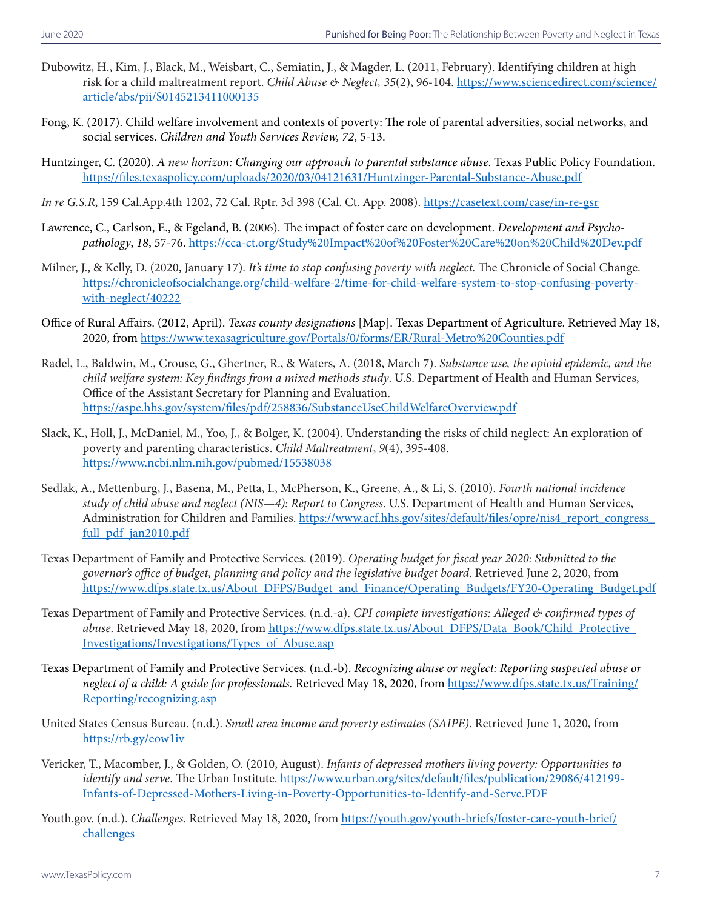- Dubowitz, H., Kim, J., Black, M., Weisbart, C., Semiatin, J., & Magder, L. (2011, February). Identifying children at high risk for a child maltreatment report. *Child Abuse & Neglect, 35*(2), 96-104. [https://www.sciencedirect.com/science/](https://www.sciencedirect.com/science/article/abs/pii/S0145213411000135) [article/abs/pii/S0145213411000135](https://www.sciencedirect.com/science/article/abs/pii/S0145213411000135)
- Fong, K. (2017). Child welfare involvement and contexts of poverty: The role of parental adversities, social networks, and social services. *Children and Youth Services Review, 72*, 5-13.
- Huntzinger, C. (2020). *A new horizon: Changing our approach to parental substance abuse*. Texas Public Policy Foundation. <https://files.texaspolicy.com/uploads/2020/03/04121631/Huntzinger-Parental-Substance-Abuse.pdf>
- *In re G.S.R*, 159 Cal.App.4th 1202, 72 Cal. Rptr. 3d 398 (Cal. Ct. App. 2008).<https://casetext.com/case/in-re-gsr>
- Lawrence, C., Carlson, E., & Egeland, B. (2006). The impact of foster care on development. *Development and Psychopathology*, *18*, 57-76.<https://cca-ct.org/Study%20Impact%20of%20Foster%20Care%20on%20Child%20Dev.pdf>
- Milner, J., & Kelly, D. (2020, January 17). *It's time to stop confusing poverty with neglect.* The Chronicle of Social Change. [https://chronicleofsocialchange.org/child-welfare-2/time-for-child-welfare-system-to-stop-confusing-poverty](https://chronicleofsocialchange.org/child-welfare-2/time-for-child-welfare-system-to-stop-confusing-poverty-with-neglect/40222)[with-neglect/40222](https://chronicleofsocialchange.org/child-welfare-2/time-for-child-welfare-system-to-stop-confusing-poverty-with-neglect/40222)
- Office of Rural Affairs. (2012, April). *Texas county designations* [Map]. Texas Department of Agriculture. Retrieved May 18, 2020, from<https://www.texasagriculture.gov/Portals/0/forms/ER/Rural-Metro%20Counties.pdf>
- Radel, L., Baldwin, M., Crouse, G., Ghertner, R., & Waters, A. (2018, March 7). *Substance use, the opioid epidemic, and the child welfare system: Key findings from a mixed methods study*. U.S. Department of Health and Human Services, Office of the Assistant Secretary for Planning and Evaluation. <https://aspe.hhs.gov/system/files/pdf/258836/SubstanceUseChildWelfareOverview.pdf>
- Slack, K., Holl, J., McDaniel, M., Yoo, J., & Bolger, K. (2004). Understanding the risks of child neglect: An exploration of poverty and parenting characteristics. *Child Maltreatment*, *9*(4), 395-408. <https://www.ncbi.nlm.nih.gov/pubmed/15538038>
- Sedlak, A., Mettenburg, J., Basena, M., Petta, I., McPherson, K., Greene, A., & Li, S. (2010). *Fourth national incidence study of child abuse and neglect (NIS—4): Report to Congress*. U.S. Department of Health and Human Services, Administration for Children and Families. [https://www.acf.hhs.gov/sites/default/files/opre/nis4\\_report\\_congress\\_](https://www.acf.hhs.gov/sites/default/files/opre/nis4_report_congress_full_pdf_jan2010.pdf) [full\\_pdf\\_jan2010.pdf](https://www.acf.hhs.gov/sites/default/files/opre/nis4_report_congress_full_pdf_jan2010.pdf)
- Texas Department of Family and Protective Services. (2019). *Operating budget for fiscal year 2020: Submitted to the governor's office of budget, planning and policy and the legislative budget board*. Retrieved June 2, 2020, from [https://www.dfps.state.tx.us/About\\_DFPS/Budget\\_and\\_Finance/Operating\\_Budgets/FY20-Operating\\_Budget.pdf](https://www.dfps.state.tx.us/About_DFPS/Budget_and_Finance/Operating_Budgets/FY20-Operating_Budget.pdf)
- Texas Department of Family and Protective Services. (n.d.-a). *CPI complete investigations: Alleged & confirmed types of abuse*. Retrieved May 18, 2020, from https://www.dfps.state.tx.us/About\_DFPS/Data\_Book/Child\_Protective [Investigations/Investigations/Types\\_of\\_Abuse.asp](https://www.dfps.state.tx.us/About_DFPS/Data_Book/Child_Protective_Investigations/Investigations/Types_of_Abuse.asp)
- Texas Department of Family and Protective Services. (n.d.-b). *Recognizing abuse or neglect: Reporting suspected abuse or neglect of a child: A guide for professionals.* Retrieved May 18, 2020, from [https://www.dfps.state.tx.us/Training/](https://www.dfps.state.tx.us/Training/Reporting/recognizing.asp) [Reporting/recognizing.asp](https://www.dfps.state.tx.us/Training/Reporting/recognizing.asp)
- United States Census Bureau. (n.d.). *Small area income and poverty estimates (SAIPE)*. Retrieved June 1, 2020, from <https://rb.gy/eow1iv>
- Vericker, T., Macomber, J., & Golden, O. (2010, August). *Infants of depressed mothers living poverty: Opportunities to identify and serve*. The Urban Institute. [https://www.urban.org/sites/default/files/publication/29086/412199-](https://www.urban.org/sites/default/files/publication/29086/412199-Infants-of-Depressed-Mothers-Living-in-Poverty-Opportunities-to-Identify-and-Serve.PDF) [Infants-of-Depressed-Mothers-Living-in-Poverty-Opportunities-to-Identify-and-Serve.PDF](https://www.urban.org/sites/default/files/publication/29086/412199-Infants-of-Depressed-Mothers-Living-in-Poverty-Opportunities-to-Identify-and-Serve.PDF)
- Youth.gov. (n.d.). *Challenges*. Retrieved May 18, 2020, from [https://youth.gov/youth-briefs/foster-care-youth-brief/](https://youth.gov/youth-briefs/foster-care-youth-brief/challenges) [challenges](https://youth.gov/youth-briefs/foster-care-youth-brief/challenges)